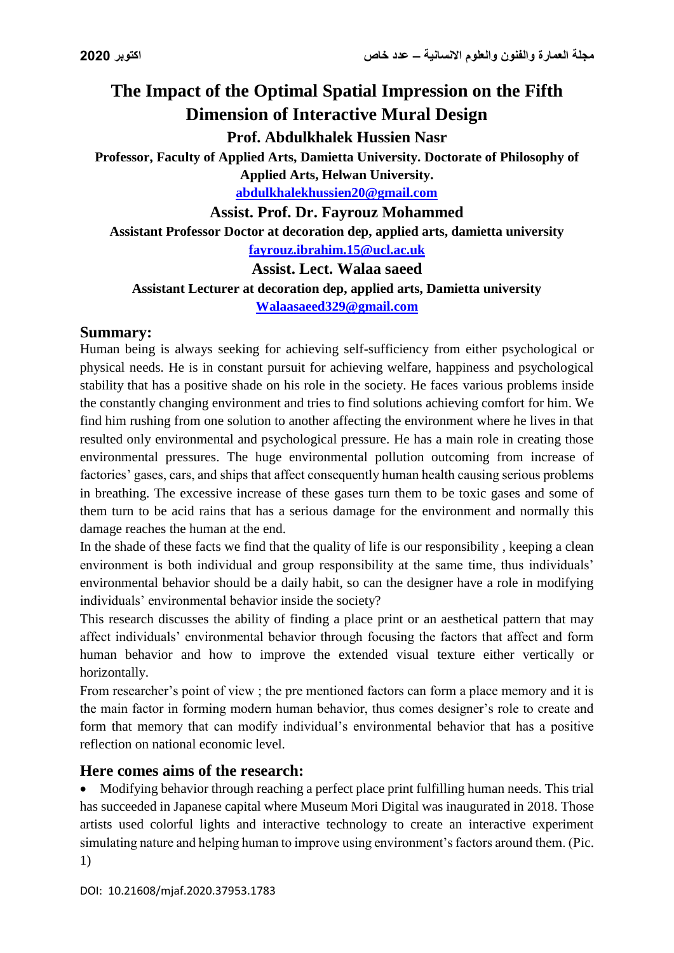# **The Impact of the Optimal Spatial Impression on the Fifth Dimension of Interactive Mural Design Prof. Abdulkhalek Hussien Nasr**

**Professor, Faculty of Applied Arts, Damietta University. Doctorate of Philosophy of Applied Arts, Helwan University.**

**[abdulkhalekhussien20@gmail.com](mailto:abdulkhalekhussien20@gmail.com)**

**Assist. Prof. Dr. Fayrouz Mohammed**

**Assistant Professor Doctor at decoration dep, applied arts, damietta university** 

**[fayrouz.ibrahim.15@ucl.ac.uk](mailto:fayrouz.ibrahim.15@ucl.ac.uk)**

**Assist. Lect. Walaa saeed**

**Assistant Lecturer at decoration dep, applied arts, Damietta university**

**[Walaasaeed329@gmail.com](mailto:Walaasaeed329@gmail.com)**

### **Summary:**

Human being is always seeking for achieving self-sufficiency from either psychological or physical needs. He is in constant pursuit for achieving welfare, happiness and psychological stability that has a positive shade on his role in the society. He faces various problems inside the constantly changing environment and tries to find solutions achieving comfort for him. We find him rushing from one solution to another affecting the environment where he lives in that resulted only environmental and psychological pressure. He has a main role in creating those environmental pressures. The huge environmental pollution outcoming from increase of factories' gases, cars, and ships that affect consequently human health causing serious problems in breathing. The excessive increase of these gases turn them to be toxic gases and some of them turn to be acid rains that has a serious damage for the environment and normally this damage reaches the human at the end.

In the shade of these facts we find that the quality of life is our responsibility , keeping a clean environment is both individual and group responsibility at the same time, thus individuals' environmental behavior should be a daily habit, so can the designer have a role in modifying individuals' environmental behavior inside the society?

This research discusses the ability of finding a place print or an aesthetical pattern that may affect individuals' environmental behavior through focusing the factors that affect and form human behavior and how to improve the extended visual texture either vertically or horizontally.

From researcher's point of view ; the pre mentioned factors can form a place memory and it is the main factor in forming modern human behavior, thus comes designer's role to create and form that memory that can modify individual's environmental behavior that has a positive reflection on national economic level.

## **Here comes aims of the research:**

 Modifying behavior through reaching a perfect place print fulfilling human needs. This trial has succeeded in Japanese capital where Museum Mori Digital was inaugurated in 2018. Those artists used colorful lights and interactive technology to create an interactive experiment simulating nature and helping human to improve using environment's factors around them. (Pic. 1)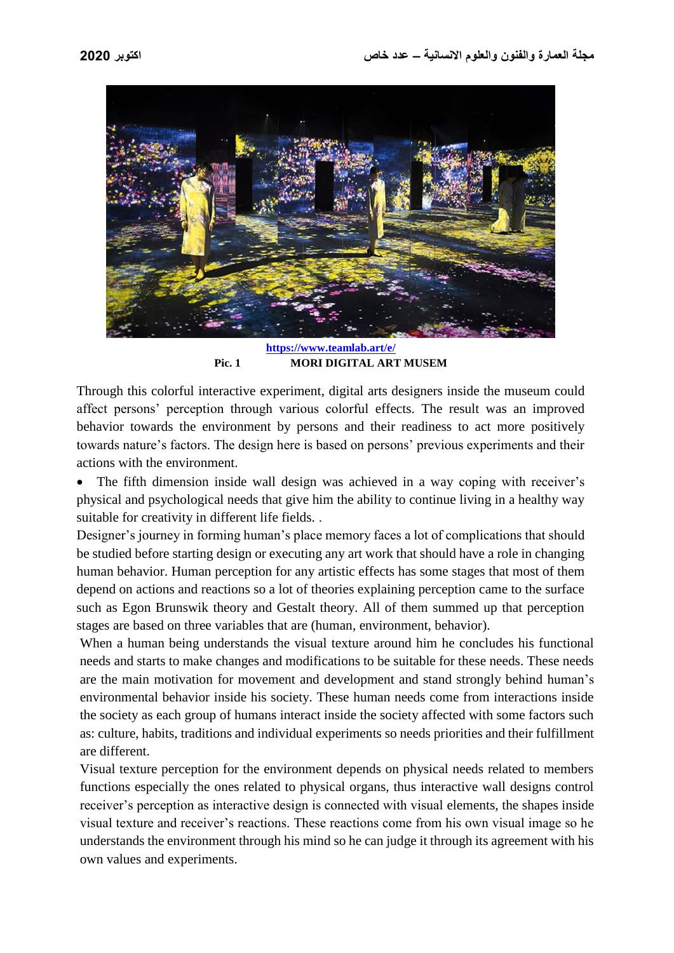

**<https://www.teamlab.art/e/> Pic. 1 MORI DIGITAL ART MUSEM**

Through this colorful interactive experiment, digital arts designers inside the museum could affect persons' perception through various colorful effects. The result was an improved behavior towards the environment by persons and their readiness to act more positively towards nature's factors. The design here is based on persons' previous experiments and their actions with the environment.

• The fifth dimension inside wall design was achieved in a way coping with receiver's physical and psychological needs that give him the ability to continue living in a healthy way suitable for creativity in different life fields. .

Designer's journey in forming human's place memory faces a lot of complications that should be studied before starting design or executing any art work that should have a role in changing human behavior. Human perception for any artistic effects has some stages that most of them depend on actions and reactions so a lot of theories explaining perception came to the surface such as Egon Brunswik theory and Gestalt theory. All of them summed up that perception stages are based on three variables that are (human, environment, behavior).

When a human being understands the visual texture around him he concludes his functional needs and starts to make changes and modifications to be suitable for these needs. These needs are the main motivation for movement and development and stand strongly behind human's environmental behavior inside his society. These human needs come from interactions inside the society as each group of humans interact inside the society affected with some factors such as: culture, habits, traditions and individual experiments so needs priorities and their fulfillment are different.

Visual texture perception for the environment depends on physical needs related to members functions especially the ones related to physical organs, thus interactive wall designs control receiver's perception as interactive design is connected with visual elements, the shapes inside visual texture and receiver's reactions. These reactions come from his own visual image so he understands the environment through his mind so he can judge it through its agreement with his own values and experiments.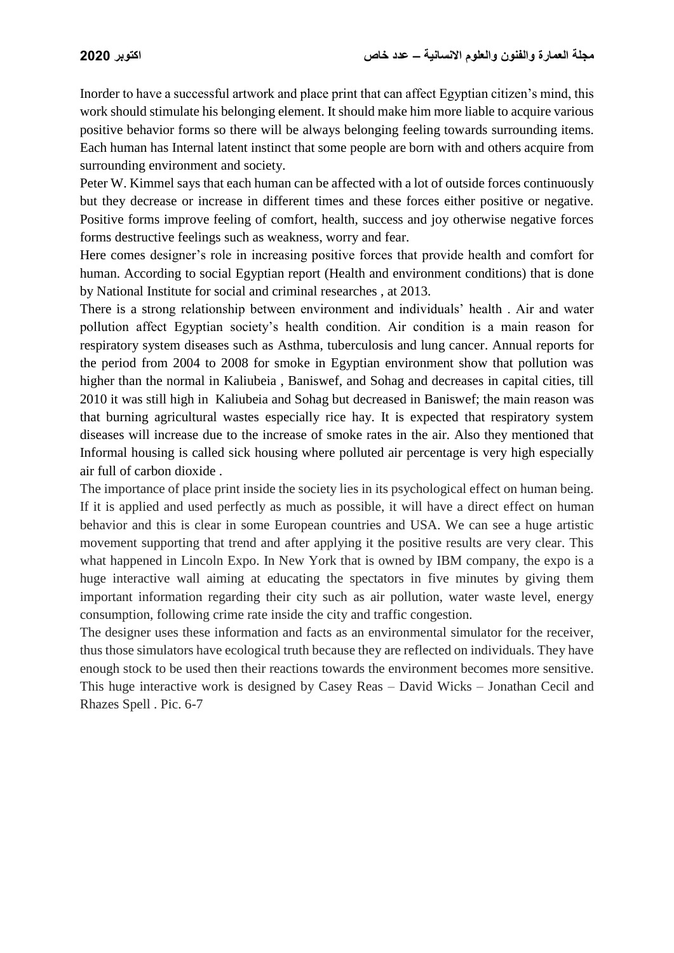Inorder to have a successful artwork and place print that can affect Egyptian citizen's mind, this work should stimulate his belonging element. It should make him more liable to acquire various positive behavior forms so there will be always belonging feeling towards surrounding items. Each human has Internal latent instinct that some people are born with and others acquire from surrounding environment and society.

Peter W. Kimmel says that each human can be affected with a lot of outside forces continuously but they decrease or increase in different times and these forces either positive or negative. Positive forms improve feeling of comfort, health, success and joy otherwise negative forces forms destructive feelings such as weakness, worry and fear.

Here comes designer's role in increasing positive forces that provide health and comfort for human. According to social Egyptian report (Health and environment conditions) that is done by National Institute for social and criminal researches , at 2013.

There is a strong relationship between environment and individuals' health . Air and water pollution affect Egyptian society's health condition. Air condition is a main reason for respiratory system diseases such as Asthma, tuberculosis and lung cancer. Annual reports for the period from 2004 to 2008 for smoke in Egyptian environment show that pollution was higher than the normal in Kaliubeia , Baniswef, and Sohag and decreases in capital cities, till 2010 it was still high in Kaliubeia and Sohag but decreased in Baniswef; the main reason was that burning agricultural wastes especially rice hay. It is expected that respiratory system diseases will increase due to the increase of smoke rates in the air. Also they mentioned that Informal housing is called sick housing where polluted air percentage is very high especially air full of carbon dioxide .

The importance of place print inside the society lies in its psychological effect on human being. If it is applied and used perfectly as much as possible, it will have a direct effect on human behavior and this is clear in some European countries and USA. We can see a huge artistic movement supporting that trend and after applying it the positive results are very clear. This what happened in Lincoln Expo. In New York that is owned by IBM company, the expo is a huge interactive wall aiming at educating the spectators in five minutes by giving them important information regarding their city such as air pollution, water waste level, energy consumption, following crime rate inside the city and traffic congestion.

The designer uses these information and facts as an environmental simulator for the receiver, thus those simulators have ecological truth because they are reflected on individuals. They have enough stock to be used then their reactions towards the environment becomes more sensitive. This huge interactive work is designed by Casey Reas – David Wicks – Jonathan Cecil and Rhazes Spell . Pic. 6-7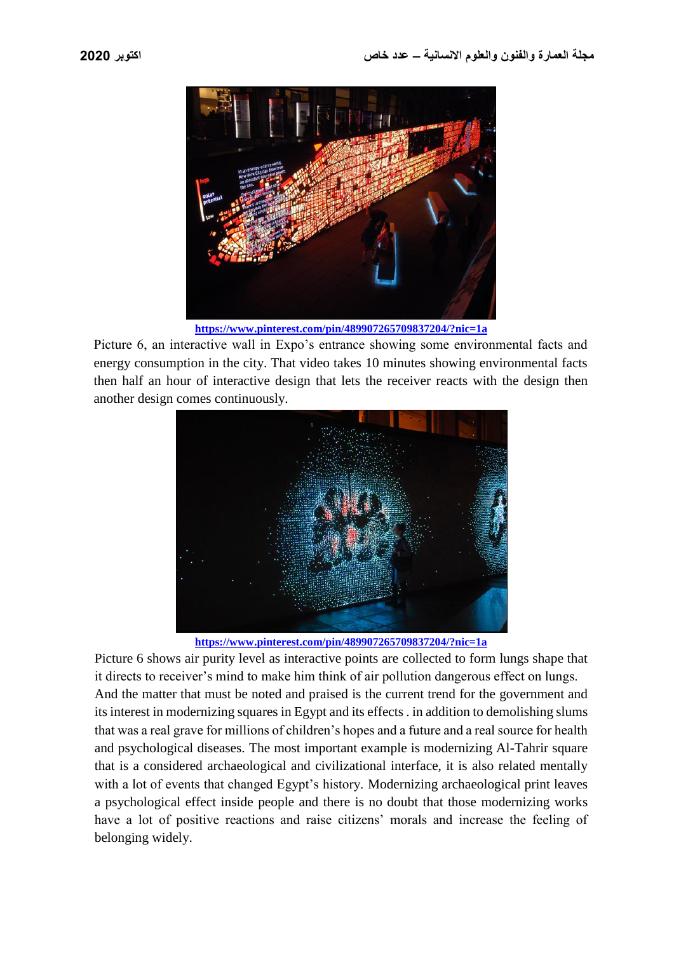

**<https://www.pinterest.com/pin/489907265709837204/?nic=1a>**

Picture 6, an interactive wall in Expo's entrance showing some environmental facts and energy consumption in the city. That video takes 10 minutes showing environmental facts then half an hour of interactive design that lets the receiver reacts with the design then another design comes continuously.



**<https://www.pinterest.com/pin/489907265709837204/?nic=1a>**

Picture 6 shows air purity level as interactive points are collected to form lungs shape that it directs to receiver's mind to make him think of air pollution dangerous effect on lungs. And the matter that must be noted and praised is the current trend for the government and its interest in modernizing squares in Egypt and its effects . in addition to demolishing slums that was a real grave for millions of children's hopes and a future and a real source for health and psychological diseases. The most important example is modernizing Al-Tahrir square that is a considered archaeological and civilizational interface, it is also related mentally with a lot of events that changed Egypt's history. Modernizing archaeological print leaves a psychological effect inside people and there is no doubt that those modernizing works have a lot of positive reactions and raise citizens' morals and increase the feeling of belonging widely.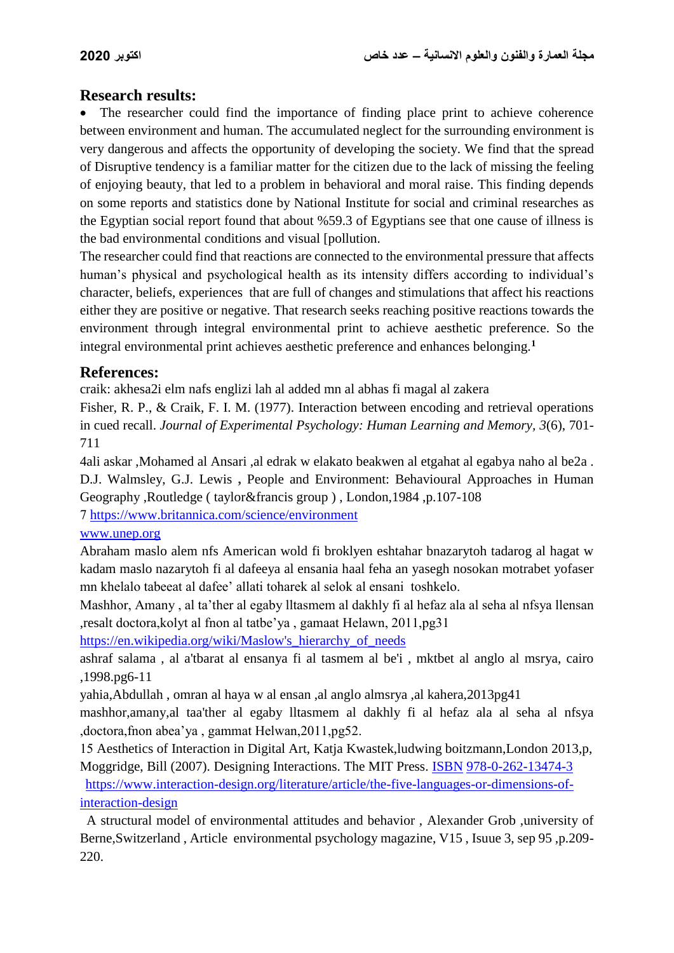### **Research results:**

 The researcher could find the importance of finding place print to achieve coherence between environment and human. The accumulated neglect for the surrounding environment is very dangerous and affects the opportunity of developing the society. We find that the spread of Disruptive tendency is a familiar matter for the citizen due to the lack of missing the feeling of enjoying beauty, that led to a problem in behavioral and moral raise. This finding depends on some reports and statistics done by National Institute for social and criminal researches as the Egyptian social report found that about %59.3 of Egyptians see that one cause of illness is the bad environmental conditions and visual [pollution.

The researcher could find that reactions are connected to the environmental pressure that affects human's physical and psychological health as its intensity differs according to individual's character, beliefs, experiences that are full of changes and stimulations that affect his reactions either they are positive or negative. That research seeks reaching positive reactions towards the environment through integral environmental print to achieve aesthetic preference. So the integral environmental print achieves aesthetic preference and enhances belonging.**<sup>1</sup>**

### **References:**

craik: akhesa2i elm nafs englizi lah al added mn al abhas fi magal al zakera

Fisher, R. P., & Craik, F. I. M. (1977). Interaction between encoding and retrieval operations in cued recall. *Journal of Experimental Psychology: Human Learning and Memory, 3*(6), 701- 711

4ali askar ,Mohamed al Ansari ,al edrak w elakato beakwen al etgahat al egabya naho al be2a . D.J. Walmsley, G.J. Lewis **,** People and Environment: Behavioural Approaches in Human Geography ,Routledge ( taylor&francis group ) , London,1984 ,p.107-108

7 <https://www.britannica.com/science/environment>

#### [www.unep.org](http://www.unep.org/)

Abraham maslo alem nfs American wold fi broklyen eshtahar bnazarytoh tadarog al hagat w kadam maslo nazarytoh fi al dafeeya al ensania haal feha an yasegh nosokan motrabet yofaser mn khelalo tabeeat al dafee' allati toharek al selok al ensani toshkelo.

Mashhor, Amany , al ta'ther al egaby lltasmem al dakhly fi al hefaz ala al seha al nfsya llensan ,resalt doctora,kolyt al fnon al tatbe'ya , gamaat Helawn, 2011,pg31

https://en.wikipedia.org/wiki/Maslow's hierarchy of needs

ashraf salama , al a'tbarat al ensanya fi al tasmem al be'i , mktbet al anglo al msrya, cairo ,1998.pg6-11

yahia,Abdullah , omran al haya w al ensan ,al anglo almsrya ,al kahera,2013pg41

mashhor,amany,al taa'ther al egaby lltasmem al dakhly fi al hefaz ala al seha al nfsya ,doctora,fnon abea'ya , gammat Helwan,2011,pg52.

15 Aesthetics of Interaction in Digital Art, Katja Kwastek,ludwing boitzmann,London 2013,p, Moggridge, Bill (2007). Designing Interactions. The MIT Press. [ISBN](https://en.wikipedia.org/wiki/International_Standard_Book_Number) [978-0-262-13474-3](https://en.wikipedia.org/wiki/Special:BookSources/978-0-262-13474-3)

[https://www.interaction-design.org/literature/article/the-five-languages-or-dimensions-of](https://www.interaction-design.org/literature/article/the-five-languages-or-dimensions-of-interaction-design)[interaction-design](https://www.interaction-design.org/literature/article/the-five-languages-or-dimensions-of-interaction-design)

 A structural model of environmental attitudes and behavior , Alexander Grob ,university of Berne,Switzerland , Article environmental psychology magazine, V15 , Isuue 3, sep 95 ,p.209- 220.